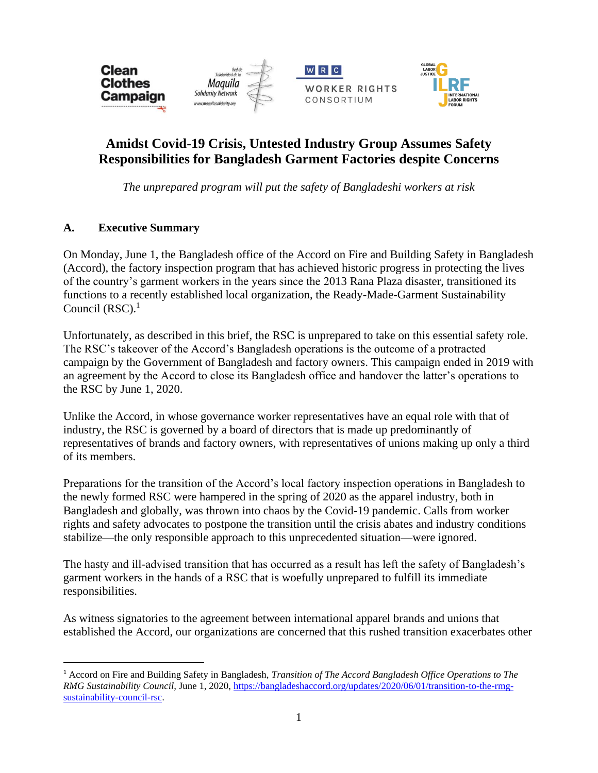





# **Amidst Covid-19 Crisis, Untested Industry Group Assumes Safety Responsibilities for Bangladesh Garment Factories despite Concerns**

*The unprepared program will put the safety of Bangladeshi workers at risk*

# **A. Executive Summary**

On Monday, June 1, the Bangladesh office of the Accord on Fire and Building Safety in Bangladesh (Accord), the factory inspection program that has achieved historic progress in protecting the lives of the country's garment workers in the years since the 2013 Rana Plaza disaster, transitioned its functions to a recently established local organization, the Ready-Made-Garment Sustainability Council  $(RSC)^1$ 

Unfortunately, as described in this brief, the RSC is unprepared to take on this essential safety role. The RSC's takeover of the Accord's Bangladesh operations is the outcome of a protracted campaign by the Government of Bangladesh and factory owners. This campaign ended in 2019 with an agreement by the Accord to close its Bangladesh office and handover the latter's operations to the RSC by June 1, 2020.

Unlike the Accord, in whose governance worker representatives have an equal role with that of industry, the RSC is governed by a board of directors that is made up predominantly of representatives of brands and factory owners, with representatives of unions making up only a third of its members.

Preparations for the transition of the Accord's local factory inspection operations in Bangladesh to the newly formed RSC were hampered in the spring of 2020 as the apparel industry, both in Bangladesh and globally, was thrown into chaos by the Covid-19 pandemic. Calls from worker rights and safety advocates to postpone the transition until the crisis abates and industry conditions stabilize—the only responsible approach to this unprecedented situation—were ignored.

The hasty and ill-advised transition that has occurred as a result has left the safety of Bangladesh's garment workers in the hands of a RSC that is woefully unprepared to fulfill its immediate responsibilities.

As witness signatories to the agreement between international apparel brands and unions that established the Accord, our organizations are concerned that this rushed transition exacerbates other

<sup>1</sup> Accord on Fire and Building Safety in Bangladesh, *Transition of The Accord Bangladesh Office Operations to The RMG Sustainability Council,* June 1, 2020, [https://bangladeshaccord.org/updates/2020/06/01/transition-to-the-rmg](https://bangladeshaccord.org/updates/2020/06/01/transition-to-the-rmg-sustainability-council-rsc)[sustainability-council-rsc.](https://bangladeshaccord.org/updates/2020/06/01/transition-to-the-rmg-sustainability-council-rsc)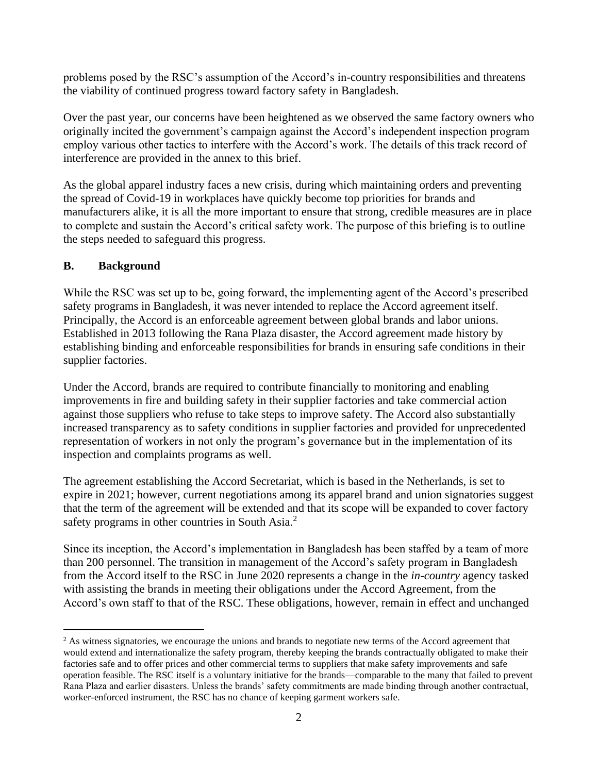problems posed by the RSC's assumption of the Accord's in-country responsibilities and threatens the viability of continued progress toward factory safety in Bangladesh.

Over the past year, our concerns have been heightened as we observed the same factory owners who originally incited the government's campaign against the Accord's independent inspection program employ various other tactics to interfere with the Accord's work. The details of this track record of interference are provided in the annex to this brief.

As the global apparel industry faces a new crisis, during which maintaining orders and preventing the spread of Covid-19 in workplaces have quickly become top priorities for brands and manufacturers alike, it is all the more important to ensure that strong, credible measures are in place to complete and sustain the Accord's critical safety work. The purpose of this briefing is to outline the steps needed to safeguard this progress.

### **B. Background**

While the RSC was set up to be, going forward, the implementing agent of the Accord's prescribed safety programs in Bangladesh, it was never intended to replace the Accord agreement itself. Principally, the Accord is an enforceable agreement between global brands and labor unions. Established in 2013 following the Rana Plaza disaster, the Accord agreement made history by establishing binding and enforceable responsibilities for brands in ensuring safe conditions in their supplier factories.

Under the Accord, brands are required to contribute financially to monitoring and enabling improvements in fire and building safety in their supplier factories and take commercial action against those suppliers who refuse to take steps to improve safety. The Accord also substantially increased transparency as to safety conditions in supplier factories and provided for unprecedented representation of workers in not only the program's governance but in the implementation of its inspection and complaints programs as well.

The agreement establishing the Accord Secretariat, which is based in the Netherlands, is set to expire in 2021; however, current negotiations among its apparel brand and union signatories suggest that the term of the agreement will be extended and that its scope will be expanded to cover factory safety programs in other countries in South Asia.<sup>2</sup>

Since its inception, the Accord's implementation in Bangladesh has been staffed by a team of more than 200 personnel. The transition in management of the Accord's safety program in Bangladesh from the Accord itself to the RSC in June 2020 represents a change in the *in-country* agency tasked with assisting the brands in meeting their obligations under the Accord Agreement, from the Accord's own staff to that of the RSC. These obligations, however, remain in effect and unchanged

<sup>&</sup>lt;sup>2</sup> As witness signatories, we encourage the unions and brands to negotiate new terms of the Accord agreement that would extend and internationalize the safety program, thereby keeping the brands contractually obligated to make their factories safe and to offer prices and other commercial terms to suppliers that make safety improvements and safe operation feasible. The RSC itself is a voluntary initiative for the brands—comparable to the many that failed to prevent Rana Plaza and earlier disasters. Unless the brands' safety commitments are made binding through another contractual, worker-enforced instrument, the RSC has no chance of keeping garment workers safe.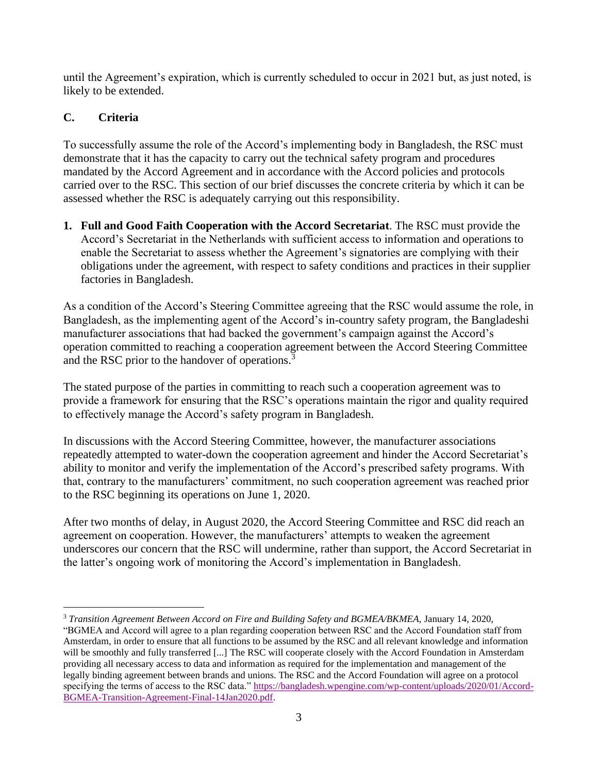until the Agreement's expiration, which is currently scheduled to occur in 2021 but, as just noted, is likely to be extended.

# **C. Criteria**

To successfully assume the role of the Accord's implementing body in Bangladesh, the RSC must demonstrate that it has the capacity to carry out the technical safety program and procedures mandated by the Accord Agreement and in accordance with the Accord policies and protocols carried over to the RSC. This section of our brief discusses the concrete criteria by which it can be assessed whether the RSC is adequately carrying out this responsibility.

**1. Full and Good Faith Cooperation with the Accord Secretariat**. The RSC must provide the Accord's Secretariat in the Netherlands with sufficient access to information and operations to enable the Secretariat to assess whether the Agreement's signatories are complying with their obligations under the agreement, with respect to safety conditions and practices in their supplier factories in Bangladesh.

As a condition of the Accord's Steering Committee agreeing that the RSC would assume the role, in Bangladesh, as the implementing agent of the Accord's in-country safety program, the Bangladeshi manufacturer associations that had backed the government's campaign against the Accord's operation committed to reaching a cooperation agreement between the Accord Steering Committee and the RSC prior to the handover of operations.<sup>3</sup>

The stated purpose of the parties in committing to reach such a cooperation agreement was to provide a framework for ensuring that the RSC's operations maintain the rigor and quality required to effectively manage the Accord's safety program in Bangladesh.

In discussions with the Accord Steering Committee, however, the manufacturer associations repeatedly attempted to water-down the cooperation agreement and hinder the Accord Secretariat's ability to monitor and verify the implementation of the Accord's prescribed safety programs. With that, contrary to the manufacturers' commitment, no such cooperation agreement was reached prior to the RSC beginning its operations on June 1, 2020.

After two months of delay, in August 2020, the Accord Steering Committee and RSC did reach an agreement on cooperation. However, the manufacturers' attempts to weaken the agreement underscores our concern that the RSC will undermine, rather than support, the Accord Secretariat in the latter's ongoing work of monitoring the Accord's implementation in Bangladesh.

<sup>3</sup> *Transition Agreement Between Accord on Fire and Building Safety and BGMEA/BKMEA,* January 14, 2020, "BGMEA and Accord will agree to a plan regarding cooperation between RSC and the Accord Foundation staff from Amsterdam, in order to ensure that all functions to be assumed by the RSC and all relevant knowledge and information will be smoothly and fully transferred [...] The RSC will cooperate closely with the Accord Foundation in Amsterdam providing all necessary access to data and information as required for the implementation and management of the legally binding agreement between brands and unions. The RSC and the Accord Foundation will agree on a protocol specifying the terms of access to the RSC data." [https://bangladesh.wpengine.com/wp-content/uploads/2020/01/Accord-](https://bangladesh.wpengine.com/wp-content/uploads/2020/01/Accord-BGMEA-Transition-Agreement-Final-14Jan2020.pdf)[BGMEA-Transition-Agreement-Final-14Jan2020.pdf.](https://bangladesh.wpengine.com/wp-content/uploads/2020/01/Accord-BGMEA-Transition-Agreement-Final-14Jan2020.pdf)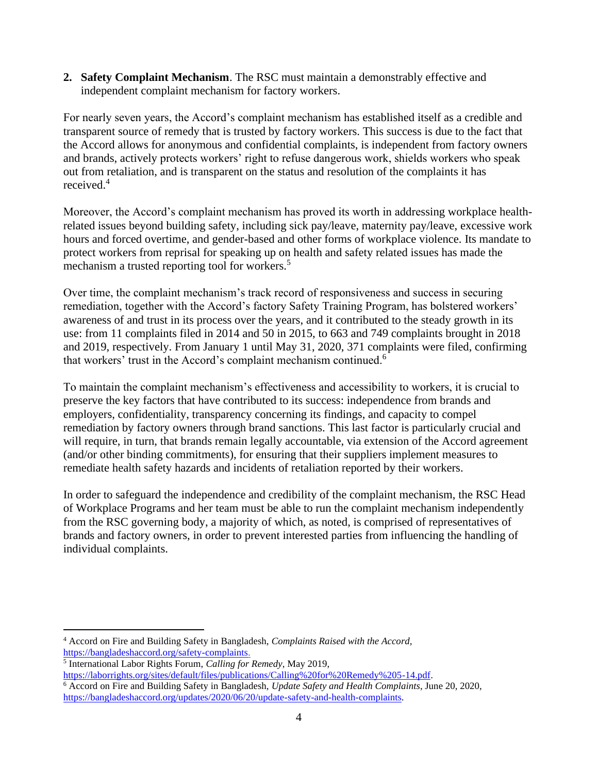**2. Safety Complaint Mechanism**. The RSC must maintain a demonstrably effective and independent complaint mechanism for factory workers.

For nearly seven years, the Accord's complaint mechanism has established itself as a credible and transparent source of remedy that is trusted by factory workers. This success is due to the fact that the Accord allows for anonymous and confidential complaints, is independent from factory owners and brands, actively protects workers' right to refuse dangerous work, shields workers who speak out from retaliation, and is transparent on the status and resolution of the complaints it has received.<sup>4</sup>

Moreover, the Accord's complaint mechanism has proved its worth in addressing workplace healthrelated issues beyond building safety, including sick pay/leave, maternity pay/leave, excessive work hours and forced overtime, and gender-based and other forms of workplace violence. Its mandate to protect workers from reprisal for speaking up on health and safety related issues has made the mechanism a trusted reporting tool for workers.<sup>5</sup>

Over time, the complaint mechanism's track record of responsiveness and success in securing remediation, together with the Accord's factory Safety Training Program, has bolstered workers' awareness of and trust in its process over the years, and it contributed to the steady growth in its use: from 11 complaints filed in 2014 and 50 in 2015, to 663 and 749 complaints brought in 2018 and 2019, respectively. From January 1 until May 31, 2020, 371 complaints were filed, confirming that workers' trust in the Accord's complaint mechanism continued.<sup>6</sup>

To maintain the complaint mechanism's effectiveness and accessibility to workers, it is crucial to preserve the key factors that have contributed to its success: independence from brands and employers, confidentiality, transparency concerning its findings, and capacity to compel remediation by factory owners through brand sanctions. This last factor is particularly crucial and will require, in turn, that brands remain legally accountable, via extension of the Accord agreement (and/or other binding commitments), for ensuring that their suppliers implement measures to remediate health safety hazards and incidents of retaliation reported by their workers.

In order to safeguard the independence and credibility of the complaint mechanism, the RSC Head of Workplace Programs and her team must be able to run the complaint mechanism independently from the RSC governing body, a majority of which, as noted, is comprised of representatives of brands and factory owners, in order to prevent interested parties from influencing the handling of individual complaints.

- 5 International Labor Rights Forum, *Calling for Remedy*, May 2019,
- [https://laborrights.org/sites/default/files/publications/Calling%20for%20Remedy%205-14.pdf.](https://laborrights.org/sites/default/files/publications/Calling%20for%20Remedy%205-14.pdf)
- <sup>6</sup> Accord on Fire and Building Safety in Bangladesh, *Update Safety and Health Complaints*, June 20, 2020, [https://bangladeshaccord.org/updates/2020/06/20/update-safety-and-health-complaints.](https://bangladeshaccord.org/updates/2020/06/20/update-safety-and-health-complaints)

<sup>4</sup> Accord on Fire and Building Safety in Bangladesh, *Complaints Raised with the Accord,*  [https://bangladeshaccord.org/safety-complaints.](https://bangladeshaccord.org/safety-complaints)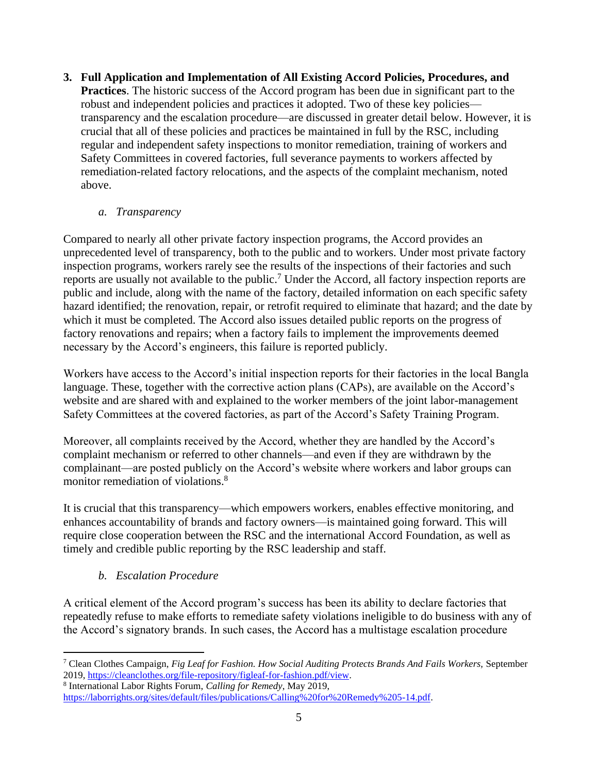**3. Full Application and Implementation of All Existing Accord Policies, Procedures, and Practices**. The historic success of the Accord program has been due in significant part to the robust and independent policies and practices it adopted. Two of these key policies transparency and the escalation procedure—are discussed in greater detail below. However, it is crucial that all of these policies and practices be maintained in full by the RSC, including regular and independent safety inspections to monitor remediation, training of workers and Safety Committees in covered factories, full severance payments to workers affected by remediation-related factory relocations, and the aspects of the complaint mechanism, noted above.

### *a. Transparency*

Compared to nearly all other private factory inspection programs, the Accord provides an unprecedented level of transparency, both to the public and to workers. Under most private factory inspection programs, workers rarely see the results of the inspections of their factories and such reports are usually not available to the public.<sup>7</sup> Under the Accord, all factory inspection reports are public and include, along with the name of the factory, detailed information on each specific safety hazard identified; the renovation, repair, or retrofit required to eliminate that hazard; and the date by which it must be completed. The Accord also issues detailed public reports on the progress of factory renovations and repairs; when a factory fails to implement the improvements deemed necessary by the Accord's engineers, this failure is reported publicly.

Workers have access to the Accord's initial inspection reports for their factories in the local Bangla language. These, together with the corrective action plans (CAPs), are available on the Accord's website and are shared with and explained to the worker members of the joint labor-management Safety Committees at the covered factories, as part of the Accord's Safety Training Program.

Moreover, all complaints received by the Accord, whether they are handled by the Accord's complaint mechanism or referred to other channels—and even if they are withdrawn by the complainant—are posted publicly on the Accord's website where workers and labor groups can monitor remediation of violations.<sup>8</sup>

It is crucial that this transparency—which empowers workers, enables effective monitoring, and enhances accountability of brands and factory owners—is maintained going forward. This will require close cooperation between the RSC and the international Accord Foundation, as well as timely and credible public reporting by the RSC leadership and staff.

# *b. Escalation Procedure*

A critical element of the Accord program's success has been its ability to declare factories that repeatedly refuse to make efforts to remediate safety violations ineligible to do business with any of the Accord's signatory brands. In such cases, the Accord has a multistage escalation procedure

<sup>7</sup> Clean Clothes Campaign, *Fig Leaf for Fashion. How Social Auditing Protects Brands And Fails Workers,* September 2019, [https://cleanclothes.org/file-repository/figleaf-for-fashion.pdf/view.](https://cleanclothes.org/file-repository/figleaf-for-fashion.pdf/view)

<sup>8</sup> International Labor Rights Forum, *Calling for Remedy*, May 2019,

[https://laborrights.org/sites/default/files/publications/Calling%20for%20Remedy%205-14.pdf.](https://laborrights.org/sites/default/files/publications/Calling%20for%20Remedy%205-14.pdf)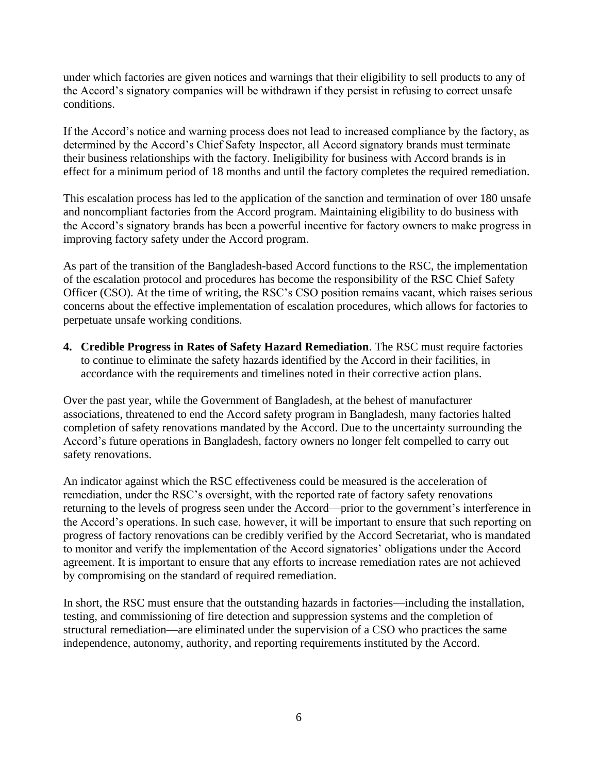under which factories are given notices and warnings that their eligibility to sell products to any of the Accord's signatory companies will be withdrawn if they persist in refusing to correct unsafe conditions.

If the Accord's notice and warning process does not lead to increased compliance by the factory, as determined by the Accord's Chief Safety Inspector, all Accord signatory brands must terminate their business relationships with the factory. Ineligibility for business with Accord brands is in effect for a minimum period of 18 months and until the factory completes the required remediation.

This escalation process has led to the application of the sanction and termination of over 180 unsafe and noncompliant factories from the Accord program. Maintaining eligibility to do business with the Accord's signatory brands has been a powerful incentive for factory owners to make progress in improving factory safety under the Accord program.

As part of the transition of the Bangladesh-based Accord functions to the RSC, the implementation of the escalation protocol and procedures has become the responsibility of the RSC Chief Safety Officer (CSO). At the time of writing, the RSC's CSO position remains vacant, which raises serious concerns about the effective implementation of escalation procedures, which allows for factories to perpetuate unsafe working conditions.

**4. Credible Progress in Rates of Safety Hazard Remediation**. The RSC must require factories to continue to eliminate the safety hazards identified by the Accord in their facilities, in accordance with the requirements and timelines noted in their corrective action plans.

Over the past year, while the Government of Bangladesh, at the behest of manufacturer associations, threatened to end the Accord safety program in Bangladesh, many factories halted completion of safety renovations mandated by the Accord. Due to the uncertainty surrounding the Accord's future operations in Bangladesh, factory owners no longer felt compelled to carry out safety renovations.

An indicator against which the RSC effectiveness could be measured is the acceleration of remediation, under the RSC's oversight, with the reported rate of factory safety renovations returning to the levels of progress seen under the Accord—prior to the government's interference in the Accord's operations. In such case, however, it will be important to ensure that such reporting on progress of factory renovations can be credibly verified by the Accord Secretariat, who is mandated to monitor and verify the implementation of the Accord signatories' obligations under the Accord agreement. It is important to ensure that any efforts to increase remediation rates are not achieved by compromising on the standard of required remediation.

In short, the RSC must ensure that the outstanding hazards in factories—including the installation, testing, and commissioning of fire detection and suppression systems and the completion of structural remediation—are eliminated under the supervision of a CSO who practices the same independence, autonomy, authority, and reporting requirements instituted by the Accord.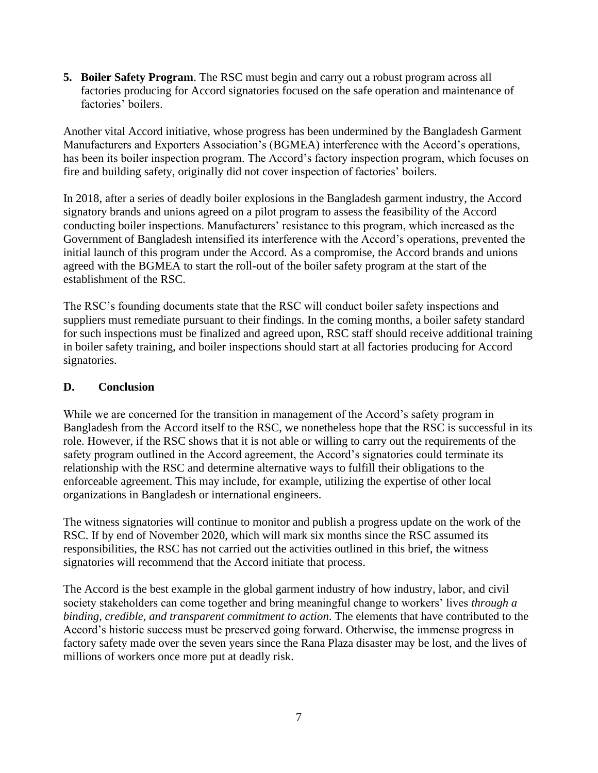**5. Boiler Safety Program**. The RSC must begin and carry out a robust program across all factories producing for Accord signatories focused on the safe operation and maintenance of factories' boilers.

Another vital Accord initiative, whose progress has been undermined by the Bangladesh Garment Manufacturers and Exporters Association's (BGMEA) interference with the Accord's operations, has been its boiler inspection program. The Accord's factory inspection program, which focuses on fire and building safety, originally did not cover inspection of factories' boilers.

In 2018, after a series of deadly boiler explosions in the Bangladesh garment industry, the Accord signatory brands and unions agreed on a pilot program to assess the feasibility of the Accord conducting boiler inspections. Manufacturers' resistance to this program, which increased as the Government of Bangladesh intensified its interference with the Accord's operations, prevented the initial launch of this program under the Accord. As a compromise, the Accord brands and unions agreed with the BGMEA to start the roll-out of the boiler safety program at the start of the establishment of the RSC.

The RSC's founding documents state that the RSC will conduct boiler safety inspections and suppliers must remediate pursuant to their findings. In the coming months, a boiler safety standard for such inspections must be finalized and agreed upon, RSC staff should receive additional training in boiler safety training, and boiler inspections should start at all factories producing for Accord signatories.

#### **D. Conclusion**

While we are concerned for the transition in management of the Accord's safety program in Bangladesh from the Accord itself to the RSC, we nonetheless hope that the RSC is successful in its role. However, if the RSC shows that it is not able or willing to carry out the requirements of the safety program outlined in the Accord agreement, the Accord's signatories could terminate its relationship with the RSC and determine alternative ways to fulfill their obligations to the enforceable agreement. This may include, for example, utilizing the expertise of other local organizations in Bangladesh or international engineers.

The witness signatories will continue to monitor and publish a progress update on the work of the RSC. If by end of November 2020, which will mark six months since the RSC assumed its responsibilities, the RSC has not carried out the activities outlined in this brief, the witness signatories will recommend that the Accord initiate that process.

The Accord is the best example in the global garment industry of how industry, labor, and civil society stakeholders can come together and bring meaningful change to workers' lives *through a binding, credible, and transparent commitment to action*. The elements that have contributed to the Accord's historic success must be preserved going forward. Otherwise, the immense progress in factory safety made over the seven years since the Rana Plaza disaster may be lost, and the lives of millions of workers once more put at deadly risk.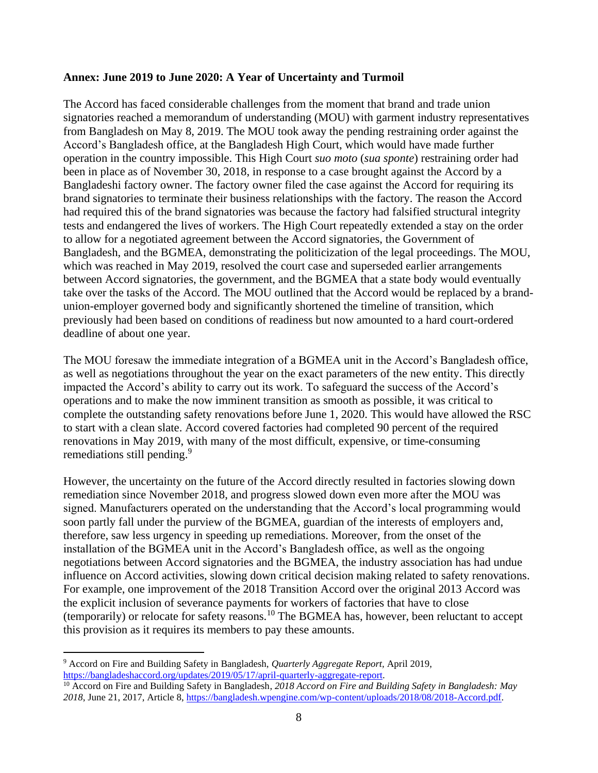#### **Annex: June 2019 to June 2020: A Year of Uncertainty and Turmoil**

The Accord has faced considerable challenges from the moment that brand and trade union signatories reached a memorandum of understanding (MOU) with garment industry representatives from Bangladesh on May 8, 2019. The MOU took away the pending restraining order against the Accord's Bangladesh office, at the Bangladesh High Court, which would have made further operation in the country impossible. This High Court *suo moto* (*sua sponte*) restraining order had been in place as of November 30, 2018, in response to a case brought against the Accord by a Bangladeshi factory owner. The factory owner filed the case against the Accord for requiring its brand signatories to terminate their business relationships with the factory. The reason the Accord had required this of the brand signatories was because the factory had falsified structural integrity tests and endangered the lives of workers. The High Court repeatedly extended a stay on the order to allow for a negotiated agreement between the Accord signatories, the Government of Bangladesh, and the BGMEA, demonstrating the politicization of the legal proceedings. The MOU, which was reached in May 2019, resolved the court case and superseded earlier arrangements between Accord signatories, the government, and the BGMEA that a state body would eventually take over the tasks of the Accord. The MOU outlined that the Accord would be replaced by a brandunion-employer governed body and significantly shortened the timeline of transition, which previously had been based on conditions of readiness but now amounted to a hard court-ordered deadline of about one year.

The MOU foresaw the immediate integration of a BGMEA unit in the Accord's Bangladesh office, as well as negotiations throughout the year on the exact parameters of the new entity. This directly impacted the Accord's ability to carry out its work. To safeguard the success of the Accord's operations and to make the now imminent transition as smooth as possible, it was critical to complete the outstanding safety renovations before June 1, 2020. This would have allowed the RSC to start with a clean slate. Accord covered factories had completed 90 percent of the required renovations in May 2019, with many of the most difficult, expensive, or time-consuming remediations still pending.<sup>9</sup>

However, the uncertainty on the future of the Accord directly resulted in factories slowing down remediation since November 2018, and progress slowed down even more after the MOU was signed. Manufacturers operated on the understanding that the Accord's local programming would soon partly fall under the purview of the BGMEA, guardian of the interests of employers and, therefore, saw less urgency in speeding up remediations. Moreover, from the onset of the installation of the BGMEA unit in the Accord's Bangladesh office, as well as the ongoing negotiations between Accord signatories and the BGMEA, the industry association has had undue influence on Accord activities, slowing down critical decision making related to safety renovations. For example, one [improvement of the 2018 Transition Accord over the original 2013 Accord was](https://apparelinsider.com/accord-goes-ahead-with-boiler-inspections/)  [the explicit inclusion of severance payments for workers of factories that have to close](https://apparelinsider.com/accord-goes-ahead-with-boiler-inspections/)  [\(temporarily\) or relocate for safety reasons.](https://apparelinsider.com/accord-goes-ahead-with-boiler-inspections/)<sup>10</sup> [The BGMEA has, however, been reluctant to accept](https://apparelinsider.com/accord-goes-ahead-with-boiler-inspections/)  [this provision as it requires its members to](https://apparelinsider.com/accord-goes-ahead-with-boiler-inspections/) [pay these amounts.](https://apparelinsider.com/accord-goes-ahead-with-boiler-inspections/)

<sup>9</sup> Accord on Fire and Building Safety in Bangladesh, *Quarterly Aggregate Report,* April 2019, [https://bangladeshaccord.org/updates/2019/05/17/april-quarterly-aggregate-report.](https://bangladeshaccord.org/updates/2019/05/17/april-quarterly-aggregate-report)

<sup>&</sup>lt;sup>10</sup> Accord on Fire and Building Safety in Bangladesh, 2018 Accord on Fire and Building Safety in Bangladesh: May *2018*, June 21, 2017, Article 8, [https://bangladesh.wpengine.com/wp-content/uploads/2018/08/2018-Accord.pdf.](https://bangladesh.wpengine.com/wp-content/uploads/2018/08/2018-Accord.pdf)